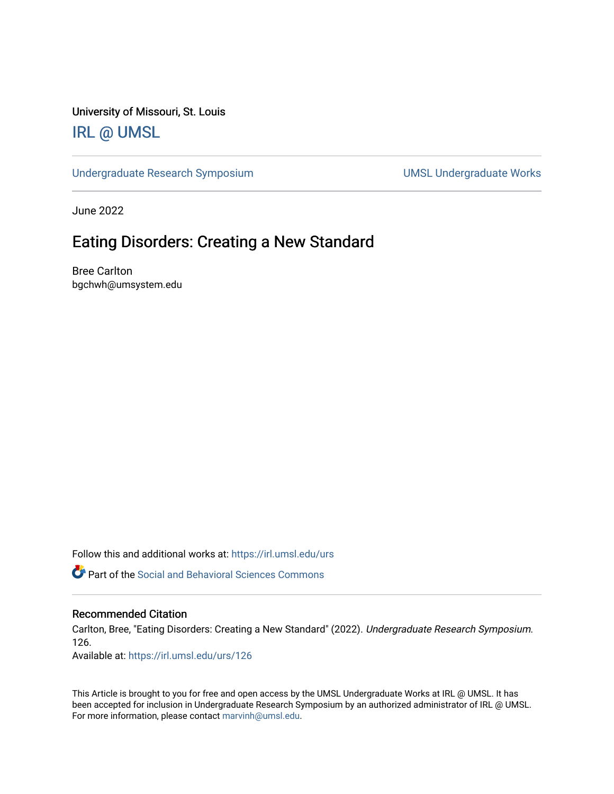University of Missouri, St. Louis

#### [IRL @ UMSL](https://irl.umsl.edu/)

[Undergraduate Research Symposium](https://irl.umsl.edu/urs) and a state of UMSL Undergraduate Works

June 2022

#### Eating Disorders: Creating a New Standard

Bree Carlton bgchwh@umsystem.edu

Follow this and additional works at: [https://irl.umsl.edu/urs](https://irl.umsl.edu/urs?utm_source=irl.umsl.edu%2Furs%2F126&utm_medium=PDF&utm_campaign=PDFCoverPages)

 $\bullet$  Part of the Social and Behavioral Sciences Commons

#### Recommended Citation

Carlton, Bree, "Eating Disorders: Creating a New Standard" (2022). Undergraduate Research Symposium. 126.

Available at: [https://irl.umsl.edu/urs/126](https://irl.umsl.edu/urs/126?utm_source=irl.umsl.edu%2Furs%2F126&utm_medium=PDF&utm_campaign=PDFCoverPages) 

This Article is brought to you for free and open access by the UMSL Undergraduate Works at IRL @ UMSL. It has been accepted for inclusion in Undergraduate Research Symposium by an authorized administrator of IRL @ UMSL. For more information, please contact [marvinh@umsl.edu](mailto:marvinh@umsl.edu).